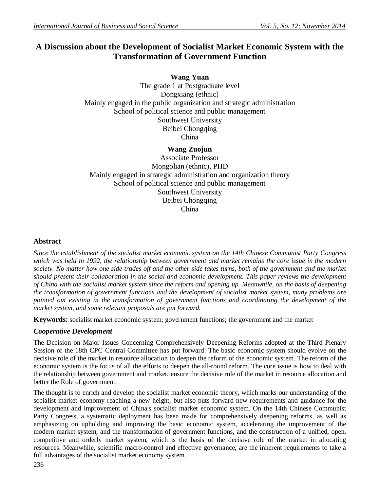# **A Discussion about the Development of Socialist Market Economic System with the Transformation of Government Function**

**Wang Yuan** The grade 1 at Postgraduate level Dongxiang (ethnic) Mainly engaged in the public organization and strategic administration School of political science and public management Southwest University Beibei Chongqing China

# **Wang Zuojun**

Associate Professor Mongolian (ethnic), PHD Mainly engaged in strategic administration and organization theory School of political science and public management Southwest University Beibei Chongqing China

#### **Abstract**

*Since the establishment of the socialist market economic system on the 14th Chinese Communist Party Congress which was held in 1992, the relationship between government and market remains the core issue in the modern society. No matter how one side trades off and the other side takes turns, both of the government and the market should present their collaboration in the social and economic development. This paper reviews the development of China with the socialist market system since the reform and opening up. Meanwhile, on the basis of deepening the transformation of government functions and the development of socialist market system, many problems are pointed out existing in the transformation of government functions and coordinating the development of the market system, and some relevant proposals are put forward.*

**Keywords**: socialist market economic system; government functions; the government and the market

## *Cooperative Development*

The Decision on Major Issues Concerning Comprehensively Deepening Reforms adopted at the Third Plenary Session of the 18th CPC Central Committee has put forward: The basic economic system should evolve on the decisive role of the market in resource allocation to deepen the reform of the economic system. The reform of the economic system is the focus of all the efforts to deepen the all-round reform. The core issue is how to deal with the relationship between government and market, ensure the decisive role of the market in resource allocation and better the Role of government.

The thought is to enrich and develop the socialist market economic theory, which marks our understanding of the socialist market economy reaching a new height, but also puts forward new requirements and guidance for the development and improvement of China's socialist market economic system. On the 14th Chinese Communist Party Congress, a systematic deployment has been made for comprehensively deepening reforms, as well as emphasizing on upholding and improving the basic economic system, accelerating the improvement of the modern market system, and the transformation of government functions, and the construction of a unified, open, competitive and orderly market system, which is the basis of the decisive role of the market in allocating resources. Meanwhile, scientific macro-control and effective governance, are the inherent requirements to take a full advantages of the socialist market economy system.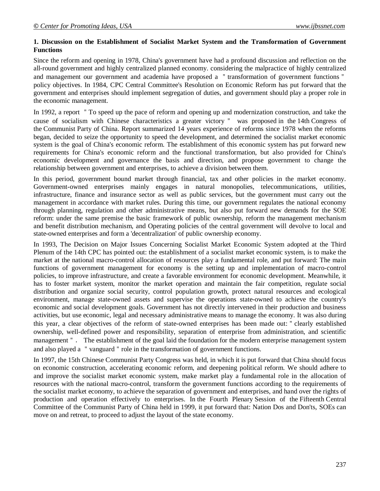#### **1. Discussion on the Establishment of Socialist Market System and the Transformation of Government Functions**

Since the reform and opening in 1978, China's government have had a profound discussion and reflection on the all-round government and highly centralized planned economy. considering the malpractice of highly centralized and management our government and academia have proposed a "transformation of government functions" policy objectives. In 1984, CPC Central Committee's Resolution on Economic Reform has put forward that the government and enterprises should implement segregation of duties, and government should play a proper role in the economic management.

In 1992, a report "To speed up the pace of reform and opening up and modernization construction, and take the cause of socialism with Chinese characteristics a greater victory" was proposed in the 14th Congress of the Communist Party of China. Report summarized 14 years experience of reforms since 1978 when the reforms began, decided to seize the opportunity to speed the development, and determined the socialist market economic system is the goal of China's economic reform. The establishment of this economic system has put forward new requirements for China's economic reform and the functional transformation, but also provided for China's economic development and governance the basis and direction, and propose government to change the relationship between government and enterprises, to achieve a division between them.

In this period, government bound market through financial, tax and other policies in the market economy. Government-owned enterprises mainly engages in natural monopolies, telecommunications, utilities, infrastructure, finance and insurance sector as well as public services, but the government must carry out the management in accordance with market rules. During this time, our government regulates the national economy through planning, regulation and other administrative means, but also put forward new demands for the SOE reform: under the same premise the basic framework of public ownership, reform the management mechanism and benefit distribution mechanism, and Operating policies of the central government will devolve to local and state-owned enterprises and form a 'decentralization' of public ownership economy.

In 1993, The Decision on Major Issues Concerning Socialist Market Economic System adopted at the Third Plenum of the 14th CPC has pointed out: the establishment of a socialist market economic system, is to make the market at the national macro-control allocation of resources play a fundamental role, and put forward: The main functions of government management for economy is the setting up and implementation of macro-control policies, to improve infrastructure, and create a favorable environment for economic development. Meanwhile, it has to foster market system, monitor the market operation and maintain the fair competition, regulate social distribution and organize social security, control population growth, protect natural resources and ecological environment, manage state-owned assets and supervise the operations state-owned to achieve the country's economic and social development goals. Government has not directly intervened in their production and business activities, but use economic, legal and necessary administrative means to manage the economy. It was also during this year, a clear objectives of the reform of state-owned enterprises has been made out:"clearly established ownership, well-defined power and responsibility, separation of enterprise from administration, and scientific management". The establishment of the goal laid the foundation for the modern enterprise management system and also played a "vanguard" role in the transformation of government functions.

In 1997, the 15th Chinese Communist Party Congress was held, in which it is put forward that China should focus on economic construction, accelerating economic reform, and deepening political reform. We should adhere to and improve the socialist market economic system, make market play a fundamental role in the allocation of resources with the national macro-control, transform the government functions according to the requirements of the socialist market economy, to achieve the separation of government and enterprises, and hand over the rights of production and operation effectively to enterprises. In the Fourth Plenary Session of the Fifteenth Central Committee of the Communist Party of China held in 1999, it put forward that: Nation Dos and Don'ts, SOEs can move on and retreat, to proceed to adjust the layout of the state economy.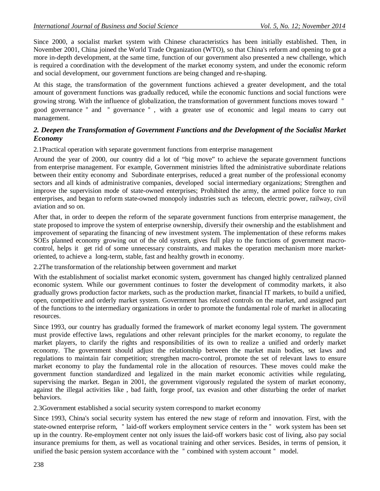Since 2000, a socialist market system with Chinese characteristics has been initially established. Then, in November 2001, China joined the World Trade Organization (WTO), so that China's reform and opening to got a more in-depth development, at the same time, function of our government also presented a new challenge, which is required a coordination with the development of the market economy system, and under the economic reform and social development, our government functions are being changed and re-shaping.

At this stage, the transformation of the government functions achieved a greater development, and the total amount of government functions was gradually reduced, while the economic functions and social functions were growing strong. With the influence of globalization, the transformation of government functions moves toward " good governance" and " governance" , with a greater use of economic and legal means to carry out management.

#### *2. Deepen the Transformation of Government Functions and the Development of the Socialist Market Economy*

2.1Practical operation with separate government functions from enterprise management

Around the year of 2000, our country did a lot of "big move" to achieve the separate government functions from enterprise management. For example, Government ministries lifted the administrative subordinate relations between their entity economy and Subordinate enterprises, reduced a great number of the professional economy sectors and all kinds of administrative companies, developed social intermediary organizations; Strengthen and improve the supervision mode of state-owned enterprises; Prohibited the army, the armed police force to run enterprises, and began to reform state-owned monopoly industries such as telecom, electric power, railway, civil aviation and so on.

After that, in order to deepen the reform of the separate government functions from enterprise management, the state proposed to improve the system of enterprise ownership, diversify their ownership and the establishment and improvement of separating the financing of new investment system. The implementation of these reforms makes SOEs planned economy growing out of the old system, gives full play to the functions of government macrocontrol, helps it get rid of some unnecessary constraints, and makes the operation mechanism more marketoriented, to achieve a long-term, stable, fast and healthy growth in economy.

2.2The transformation of the relationship between government and market

With the establishment of socialist market economic system, government has changed highly centralized planned economic system. While our government continues to foster the development of commodity markets, it also gradually grows production factor markets, such as the production market, financial IT markets, to build a unified, open, competitive and orderly market system. Government has relaxed controls on the market, and assigned part of the functions to the intermediary organizations in order to promote the fundamental role of market in allocating resources.

Since 1993, our country has gradually formed the framework of market economy legal system. The government must provide effective laws, regulations and other relevant principles for the market economy, to regulate the market players, to clarify the rights and responsibilities of its own to realize a unified and orderly market economy. The government should adjust the relationship between the market main bodies, set laws and regulations to maintain fair competition; strengthen macro-control, promote the set of relevant laws to ensure market economy to play the fundamental role in the allocation of resources. These moves could make the government function standardized and legalized in the main market economic activities while regulating, supervising the market. Began in 2001, the government vigorously regulated the system of market economy, against the illegal activities like , bad faith, forge proof, tax evasion and other disturbing the order of market behaviors.

2.3Government established a social security system correspond to market economy

Since 1993, China's social security system has entered the new stage of reform and innovation. First, with the state-owned enterprise reform, "laid-off workers employment service centers in the" work system has been set up in the country. Re-employment center not only issues the laid-off workers basic cost of living, also pay social insurance premiums for them, as well as vocational training and other services. Besides, in terms of pension, it unified the basic pension system accordance with the "combined with system account" model.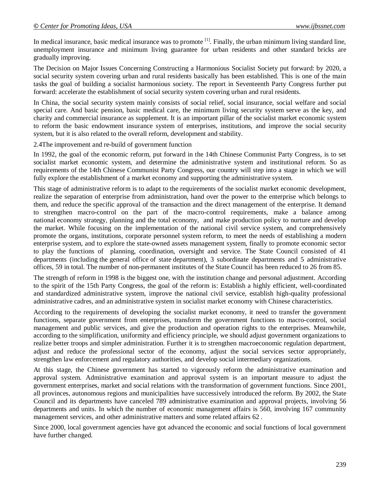In medical insurance, basic medical insurance was to promote  $[1]$ . Finally, the urban minimum living standard line, unemployment insurance and minimum living guarantee for urban residents and other standard bricks are gradually improving.

The Decision on Major Issues Concerning Constructing a Harmonious Socialist Society put forward: by 2020, a social security system covering urban and rural residents basically has been established. This is one of the main tasks the goal of building a socialist harmonious society. The report in Seventeenth Party Congress further put forward: accelerate the establishment of social security system covering urban and rural residents.

In China, the social security system mainly consists of social relief, social insurance, social welfare and social special care. And basic pension, basic medical care, the minimum living security system serve as the key, and charity and commercial insurance as supplement. It is an important pillar of the socialist market economic system to reform the basic endowment insurance system of enterprises, institutions, and improve the social security system, but it is also related to the overall reform, development and stability.

2.4The improvement and re-build of government function

In 1992, the goal of the economic reform, put forward in the 14th Chinese Communist Party Congress, is to set socialist market economic system, and determine the administrative system and institutional reform. So as requirements of the 14th Chinese Communist Party Congress, our country will step into a stage in which we will fully explore the establishment of a market economy and supporting the administrative system.

This stage of administrative reform is to adapt to the requirements of the socialist market economic development, realize the separation of enterprise from administration, hand over the power to the enterprise which belongs to them, and reduce the specific approval of the transaction and the direct management of the enterprise. It demand to strengthen macro-control on the part of the macro-control requirements, make a balance among national economy strategy, planning and the total economy, and make production policy to nurture and develop the market. While focusing on the implementation of the national civil service system, and comprehensively promote the organs, institutions, corporate personnel system reform, to meet the needs of establishing a modern enterprise system, and to explore the state-owned assets management system, finally to promote economic sector to play the functions of planning, coordination, oversight and service. The State Council consisted of 41 departments (including the general office of state department), 3 subordinate departments and 5 administrative offices, 59 in total. The number of non-permanent institutes of the State Council has been reduced to 26 from 85.

The strength of reform in 1998 is the biggest one, with the institution change and personal adjustment. According to the spirit of the 15th Party Congress, the goal of the reform is: Establish a highly efficient, well-coordinated and standardized administrative system, improve the national civil service, establish high-quality professional administrative cadres, and an administrative system in socialist market economy with Chinese characteristics.

According to the requirements of developing the socialist market economy, it need to transfer the government functions, separate government from enterprises, transform the government functions to macro-control, social management and public services, and give the production and operation rights to the enterprises. Meanwhile, according to the simplification, uniformity and efficiency principle, we should adjust government organizations to realize better troops and simpler administration. Further it is to strengthen macroeconomic regulation department, adjust and reduce the professional sector of the economy, adjust the social services sector appropriately, strengthen law enforcement and regulatory authorities, and develop social intermediary organizations.

At this stage, the Chinese government has started to vigorously reform the administrative examination and approval system. Administrative examination and approval system is an important measure to adjust the government enterprises, market and social relations with the transformation of government functions. Since 2001, all provinces, autonomous regions and municipalities have successively introduced the reform. By 2002, the State Council and its departments have canceled 789 administrative examination and approval projects, involving 56 departments and units. In which the number of economic management affairs is 560, involving 167 community management services, and other administrative matters and some related affairs 62 .

Since 2000, local government agencies have got advanced the economic and social functions of local government have further changed.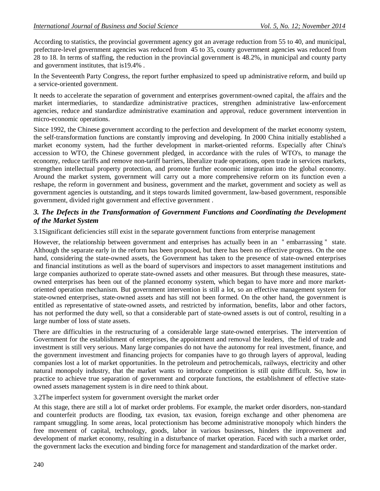According to statistics, the provincial government agency got an average reduction from 55 to 40, and municipal, prefecture-level government agencies was reduced from 45 to 35, county government agencies was reduced from 28 to 18. In terms of staffing, the reduction in the provincial government is 48.2%, in municipal and county party and government institutes, that is19.4% .

In the Seventeenth Party Congress, the report further emphasized to speed up administrative reform, and build up a service-oriented government.

It needs to accelerate the separation of government and enterprises government-owned capital, the affairs and the market intermediaries, to standardize administrative practices, strengthen administrative law-enforcement agencies, reduce and standardize administrative examination and approval, reduce government intervention in micro-economic operations.

Since 1992, the Chinese government according to the perfection and development of the market economy system, the self-transformation functions are constantly improving and developing. In 2000 China initially established a market economy system, had the further development in market-oriented reforms. Especially after China's accession to WTO, the Chinese government pledged, in accordance with the rules of WTO's, to manage the economy, reduce tariffs and remove non-tariff barriers, liberalize trade operations, open trade in services markets, strengthen intellectual property protection, and promote further economic integration into the global economy. Around the market system, government will carry out a more comprehensive reform on its function even a reshape, the reform in government and business, government and the market, government and society as well as government agencies is outstanding, and it steps towards limited government, law-based government, responsible government, divided right government and effective government .

## *3. The Defects in the Transformation of Government Functions and Coordinating the Development of the Market System*

3.1Significant deficiencies still exist in the separate government functions from enterprise management

However, the relationship between government and enterprises has actually been in an "embarrassing" state. Although the separate early in the reform has been proposed, but there has been no effective progress. On the one hand, considering the state-owned assets, the Government has taken to the presence of state-owned enterprises and financial institutions as well as the board of supervisors and inspectors to asset management institutions and large companies authorized to operate state-owned assets and other measures. But through these measures, stateowned enterprises has been out of the planned economy system, which began to have more and more marketoriented operation mechanism. But government intervention is still a lot, so an effective management system for state-owned enterprises, state-owned assets and has still not been formed. On the other hand, the government is entitled as representative of state-owned assets, and restricted by information, benefits, labor and other factors, has not performed the duty well, so that a considerable part of state-owned assets is out of control, resulting in a large number of loss of state assets.

There are difficulties in the restructuring of a considerable large state-owned enterprises. The intervention of Government for the establishment of enterprises, the appointment and removal the leaders, the field of trade and investment is still very serious. Many large companies do not have the autonomy for real investment, finance, and the government investment and financing projects for companies have to go through layers of approval, leading companies lost a lot of market opportunities. In the petroleum and petrochemicals, railways, electricity and other natural monopoly industry, that the market wants to introduce competition is still quite difficult. So, how in practice to achieve true separation of government and corporate functions, the establishment of effective stateowned assets management system is in dire need to think about.

3.2The imperfect system for government oversight the market order

At this stage, there are still a lot of market order problems. For example, the market order disorders, non-standard and counterfeit products are flooding, tax evasion, tax evasion, foreign exchange and other phenomena are rampant smuggling. In some areas, local protectionism has become administrative monopoly which hinders the free movement of capital, technology, goods, labor in various businesses, hinders the improvement and development of market economy, resulting in a disturbance of market operation. Faced with such a market order, the government lacks the execution and binding force for management and standardization of the market order.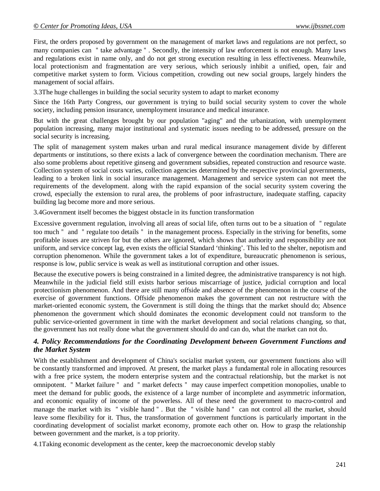First, the orders proposed by government on the management of market laws and regulations are not perfect, so many companies can "take advantage". Secondly, the intensity of law enforcement is not enough. Many laws and regulations exist in name only, and do not get strong execution resulting in less effectiveness. Meanwhile, local protectionism and fragmentation are very serious, which seriously inhibit a unified, open, fair and competitive market system to form. Vicious competition, crowding out new social groups, largely hinders the management of social affairs.

3.3The huge challenges in building the social security system to adapt to market economy

Since the 16th Party Congress, our government is trying to build social security system to cover the whole society, including pension insurance, unemployment insurance and medical insurance.

But with the great challenges brought by our population "aging" and the urbanization, with unemployment population increasing, many major institutional and systematic issues needing to be addressed, pressure on the social security is increasing.

The split of management system makes urban and rural medical insurance management divide by different departments or institutions, so there exists a lack of convergence between the coordination mechanism. There are also some problems about repetitive ginseng and government subsidies, repeated construction and resource waste. Collection system of social costs varies, collection agencies determined by the respective provincial governments, leading to a broken link in social insurance management. Management and service system can not meet the requirements of the development. along with the rapid expansion of the social security system covering the crowd, especially the extension to rural area, the problems of poor infrastructure, inadequate staffing, capacity building lag become more and more serious.

3.4Government itself becomes the biggest obstacle in its function transformation

Excessive government regulation, involving all areas of social life, often turns out to be a situation of "regulate too much" and "regulate too details" in the management process. Especially in the striving for benefits, some profitable issues are striven for but the others are ignored, which shows that authority and responsibility are not uniform, and service concept lag, even exists the official Standard 'thinking'. This led to the shelter, nepotism and corruption phenomenon. While the government takes a lot of expenditure, bureaucratic phenomenon is serious, response is low, public service is weak as well as institutional corruption and other issues.

Because the executive powers is being constrained in a limited degree, the administrative transparency is not high. Meanwhile in the judicial field still exists harbor serious miscarriage of justice, judicial corruption and local protectionism phenomenon. And there are still many offside and absence of the phenomenon in the course of the exercise of government functions. Offside phenomenon makes the government can not restructure with the market-oriented economic system, the Government is still doing the things that the market should do; Absence phenomenon the government which should dominates the economic development could not transform to the public service-oriented government in time with the market development and social relations changing, so that, the government has not really done what the government should do and can do, what the market can not do.

#### *4. Policy Recommendations for the Coordinating Development between Government Functions and the Market System*

With the establishment and development of China's socialist market system, our government functions also will be constantly transformed and improved. At present, the market plays a fundamental role in allocating resources with a free price system, the modern enterprise system and the contractual relationship, but the market is not omnipotent. "Market failure" and "market defects" may cause imperfect competition monopolies, unable to meet the demand for public goods, the existence of a large number of incomplete and asymmetric information, and economic equality of income of the powerless. All of these need the government to macro-control and manage the market with its "visible hand". But the "visible hand" can not control all the market, should leave some flexibility for it. Thus, the transformation of government functions is particularly important in the coordinating development of socialist market economy, promote each other on. How to grasp the relationship between government and the market, is a top priority.

4.1Taking economic development as the center, keep the macroeconomic develop stably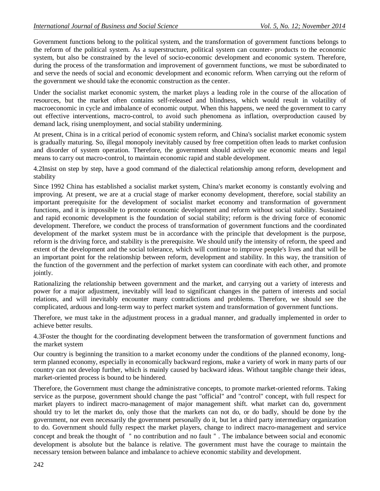Government functions belong to the political system, and the transformation of government functions belongs to the reform of the political system. As a superstructure, political system can counter- products to the economic system, but also be constrained by the level of socio-economic development and economic system. Therefore, during the process of the transformation and improvement of government functions, we must be subordinated to and serve the needs of social and economic development and economic reform. When carrying out the reform of the government we should take the economic construction as the center.

Under the socialist market economic system, the market plays a leading role in the course of the allocation of resources, but the market often contains self-released and blindness, which would result in volatility of macroeconomic in cycle and imbalance of economic output. When this happens, we need the government to carry out effective interventions, macro-control, to avoid such phenomena as inflation, overproduction caused by demand lack, rising unemployment, and social stability undermining.

At present, China is in a critical period of economic system reform, and China's socialist market economic system is gradually maturing. So, illegal monopoly inevitably caused by free competition often leads to market confusion and disorder of system operation. Therefore, the government should actively use economic means and legal means to carry out macro-control, to maintain economic rapid and stable development.

4.2Insist on step by step, have a good command of the dialectical relationship among reform, development and stability

Since 1992 China has established a socialist market system, China's market economy is constantly evolving and improving. At present, we are at a crucial stage of marker economy development, therefore, social stability an important prerequisite for the development of socialist market economy and transformation of government functions, and it is impossible to promote economic development and reform without social stability. Sustained and rapid economic development is the foundation of social stability; reform is the driving force of economic development. Therefore, we conduct the process of transformation of government functions and the coordinated development of the market system must be in accordance with the principle that development is the purpose, reform is the driving force, and stability is the prerequisite. We should unify the intensity of reform, the speed and extent of the development and the social tolerance, which will continue to improve people's lives and that will be an important point for the relationship between reform, development and stability. In this way, the transition of the function of the government and the perfection of market system can coordinate with each other, and promote jointly.

Rationalizing the relationship between government and the market, and carrying out a variety of interests and power for a major adjustment, inevitably will lead to significant changes in the pattern of interests and social relations, and will inevitably encounter many contradictions and problems. Therefore, we should see the complicated, arduous and long-term way to perfect market system and transformation of government functions.

Therefore, we must take in the adjustment process in a gradual manner, and gradually implemented in order to achieve better results.

4.3Foster the thought for the coordinating development between the transformation of government functions and the market system

Our country is beginning the transition to a market economy under the conditions of the planned economy, longterm planned economy, especially in economically backward regions, make a variety of work in many parts of our country can not develop further, which is mainly caused by backward ideas. Without tangible change their ideas, market-oriented process is bound to be hindered.

Therefore, the Government must change the administrative concepts, to promote market-oriented reforms. Taking service as the purpose, government should change the past "official" and "control" concept, with full respect for market players to indirect macro-management of major management shift. what market can do, government should try to let the market do, only those that the markets can not do, or do badly, should be done by the government, nor even necessarily the government personally do it, but let a third party intermediary organization to do. Government should fully respect the market players, change to indirect macro-management and service concept and break the thought of "no contribution and no fault". The imbalance between social and economic development is absolute but the balance is relative. The government must have the courage to maintain the necessary tension between balance and imbalance to achieve economic stability and development.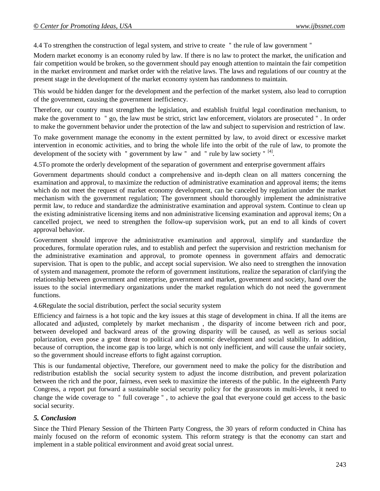4.4 To strengthen the construction of legal system, and strive to create "the rule of law government"

Modern market economy is an economy ruled by law. If there is no law to protect the market, the unification and fair competition would be broken, so the government should pay enough attention to maintain the fair competition in the market environment and market order with the relative laws. The laws and regulations of our country at the present stage in the development of the market economy system has randomness to maintain.

This would be hidden danger for the development and the perfection of the market system, also lead to corruption of the government, causing the government inefficiency.

Therefore, our country must strengthen the legislation, and establish fruitful legal coordination mechanism, to make the government to "go, the law must be strict, strict law enforcement, violators are prosecuted". In order to make the government behavior under the protection of the law and subject to supervision and restriction of law.

To make government manage the economy in the extent permitted by law, to avoid direct or excessive market intervention in economic activities, and to bring the whole life into the orbit of the rule of law, to promote the development of the society with "government by law" and "rule by law society"<sup>[4]</sup>.

4.5To promote the orderly development of the separation of government and enterprise government affairs

Government departments should conduct a comprehensive and in-depth clean on all matters concerning the examination and approval, to maximize the reduction of administrative examination and approval items; the items which do not meet the request of market economy development, can be canceled by regulation under the market mechanism with the government regulation; The government should thoroughly implement the administrative permit law, to reduce and standardize the administrative examination and approval system. Continue to clean up the existing administrative licensing items and non administrative licensing examination and approval items; On a cancelled project, we need to strengthen the follow-up supervision work, put an end to all kinds of covert approval behavior.

Government should improve the administrative examination and approval, simplify and standardize the procedures, formulate operation rules, and to establish and perfect the supervision and restriction mechanism for the administrative examination and approval, to promote openness in government affairs and democratic supervision. That is open to the public, and accept social supervision. We also need to strengthen the innovation of system and management, promote the reform of government institutions, realize the separation of clarifying the relationship between government and enterprise, government and market, government and society, hand over the issues to the social intermediary organizations under the market regulation which do not need the government functions.

4.6Regulate the social distribution, perfect the social security system

Efficiency and fairness is a hot topic and the key issues at this stage of development in china. If all the items are allocated and adjusted, completely by market mechanism , the disparity of income between rich and poor, between developed and backward areas of the growing disparity will be caused, as well as serious social polarization, even pose a great threat to political and economic development and social stability. In addition, because of corruption, the income gap is too large, which is not only inefficient, and will cause the unfair society, so the government should increase efforts to fight against corruption.

This is our fundamental objective, Therefore, our government need to make the policy for the distribution and redistribution establish the social security system to adjust the income distribution, and prevent polarization between the rich and the poor, fairness, even seek to maximize the interests of the public. In the eighteenth Party Congress, a report put forward a sustainable social security policy for the grassroots in multi-levels, it need to change the wide coverage to "full coverage", to achieve the goal that everyone could get access to the basic social security.

#### *5. Conclusion*

Since the Third Plenary Session of the Thirteen Party Congress, the 30 years of reform conducted in China has mainly focused on the reform of economic system. This reform strategy is that the economy can start and implement in a stable political environment and avoid great social unrest.